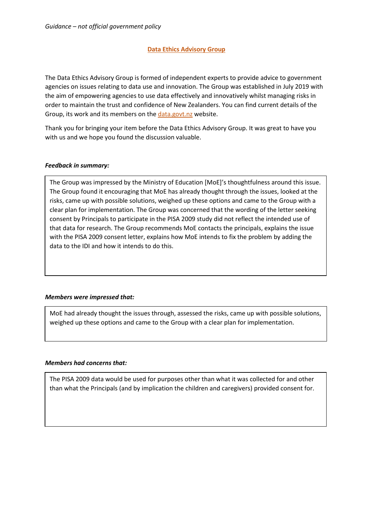## **Data Ethics Advisory Group**

The Data Ethics Advisory Group is formed of independent experts to provide advice to government agencies on issues relating to data use and innovation. The Group was established in July 2019 with the aim of empowering agencies to use data effectively and innovatively whilst managing risks in order to maintain the trust and confidence of New Zealanders. You can find current details of the Group, its work and its members on the [data.govt.nz](https://data.govt.nz/about/government-chief-data-steward-gcds/data-ethics-advisory-group/meeting-agendas-and-minutes/) website.

Thank you for bringing your item before the Data Ethics Advisory Group. It was great to have you with us and we hope you found the discussion valuable.

### *Feedback in summary:*

The Group was impressed by the Ministry of Education [MoE]'s thoughtfulness around this issue. The Group found it encouraging that MoE has already thought through the issues, looked at the risks, came up with possible solutions, weighed up these options and came to the Group with a clear plan for implementation. The Group was concerned that the wording of the letter seeking consent by Principals to participate in the PISA 2009 study did not reflect the intended use of that data for research. The Group recommends MoE contacts the principals, explains the issue with the PISA 2009 consent letter, explains how MoE intends to fix the problem by adding the data to the IDI and how it intends to do this.

# *Members were impressed that:*

MoE had already thought the issues through, assessed the risks, came up with possible solutions, weighed up these options and came to the Group with a clear plan for implementation.

#### *Members had concerns that:*

The PISA 2009 data would be used for purposes other than what it was collected for and other than what the Principals (and by implication the children and caregivers) provided consent for.